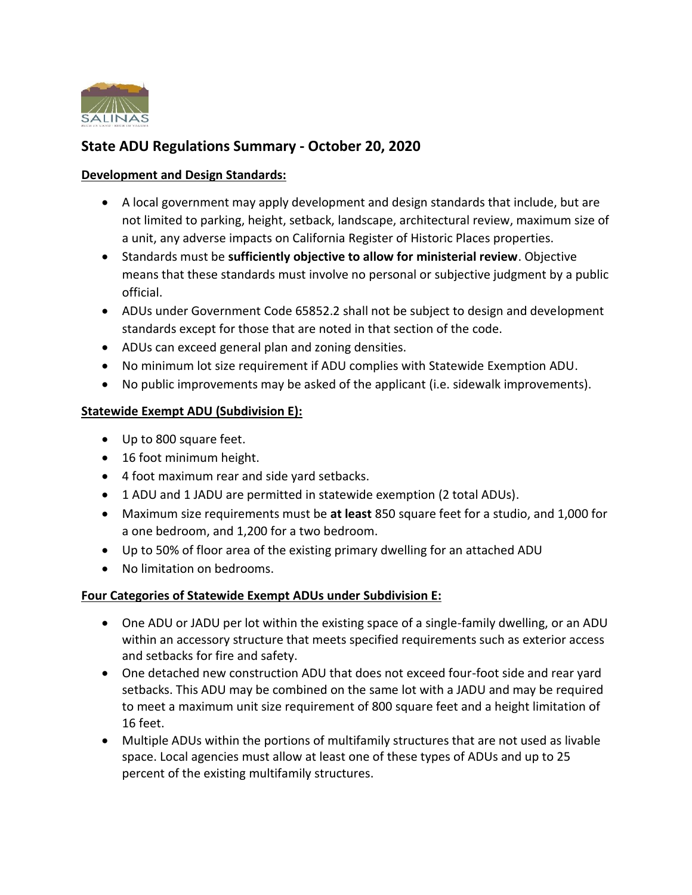

# **State ADU Regulations Summary - October 20, 2020**

#### **Development and Design Standards:**

- A local government may apply development and design standards that include, but are not limited to parking, height, setback, landscape, architectural review, maximum size of a unit, any adverse impacts on California Register of Historic Places properties.
- Standards must be **sufficiently objective to allow for ministerial review**. Objective means that these standards must involve no personal or subjective judgment by a public official.
- ADUs under Government Code 65852.2 shall not be subject to design and development standards except for those that are noted in that section of the code.
- ADUs can exceed general plan and zoning densities.
- No minimum lot size requirement if ADU complies with Statewide Exemption ADU.
- No public improvements may be asked of the applicant (i.e. sidewalk improvements).

#### **Statewide Exempt ADU (Subdivision E):**

- Up to 800 square feet.
- 16 foot minimum height.
- 4 foot maximum rear and side yard setbacks.
- 1 ADU and 1 JADU are permitted in statewide exemption (2 total ADUs).
- Maximum size requirements must be **at least** 850 square feet for a studio, and 1,000 for a one bedroom, and 1,200 for a two bedroom.
- Up to 50% of floor area of the existing primary dwelling for an attached ADU
- No limitation on bedrooms.

## **Four Categories of Statewide Exempt ADUs under Subdivision E:**

- One ADU or JADU per lot within the existing space of a single-family dwelling, or an ADU within an accessory structure that meets specified requirements such as exterior access and setbacks for fire and safety.
- One detached new construction ADU that does not exceed four-foot side and rear yard setbacks. This ADU may be combined on the same lot with a JADU and may be required to meet a maximum unit size requirement of 800 square feet and a height limitation of 16 feet.
- Multiple ADUs within the portions of multifamily structures that are not used as livable space. Local agencies must allow at least one of these types of ADUs and up to 25 percent of the existing multifamily structures.